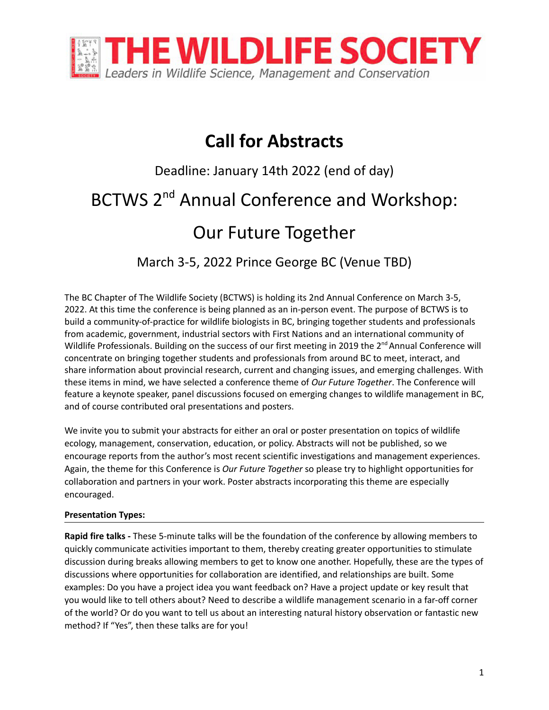

## **Call for Abstracts**

# Deadline: January 14th 2022 (end of day) BCTWS 2<sup>nd</sup> Annual Conference and Workshop: Our Future Together

March 3-5, 2022 Prince George BC (Venue TBD)

The BC Chapter of The Wildlife Society (BCTWS) is holding its 2nd Annual Conference on March 3-5, 2022. At this time the conference is being planned as an in-person event. The purpose of BCTWS is to build a community-of-practice for wildlife biologists in BC, bringing together students and professionals from academic, government, industrial sectors with First Nations and an international community of Wildlife Professionals. Building on the success of our first meeting in 2019 the 2<sup>nd</sup> Annual Conference will concentrate on bringing together students and professionals from around BC to meet, interact, and share information about provincial research, current and changing issues, and emerging challenges. With these items in mind, we have selected a conference theme of *Our Future Together*. The Conference will feature a keynote speaker, panel discussions focused on emerging changes to wildlife management in BC, and of course contributed oral presentations and posters.

We invite you to submit your abstracts for either an oral or poster presentation on topics of wildlife ecology, management, conservation, education, or policy. Abstracts will not be published, so we encourage reports from the author's most recent scientific investigations and management experiences. Again, the theme for this Conference is *Our Future Together* so please try to highlight opportunities for collaboration and partners in your work. Poster abstracts incorporating this theme are especially encouraged.

#### **Presentation Types:**

**Rapid fire talks -** These 5-minute talks will be the foundation of the conference by allowing members to quickly communicate activities important to them, thereby creating greater opportunities to stimulate discussion during breaks allowing members to get to know one another. Hopefully, these are the types of discussions where opportunities for collaboration are identified, and relationships are built. Some examples: Do you have a project idea you want feedback on? Have a project update or key result that you would like to tell others about? Need to describe a wildlife management scenario in a far-off corner of the world? Or do you want to tell us about an interesting natural history observation or fantastic new method? If "Yes", then these talks are for you!